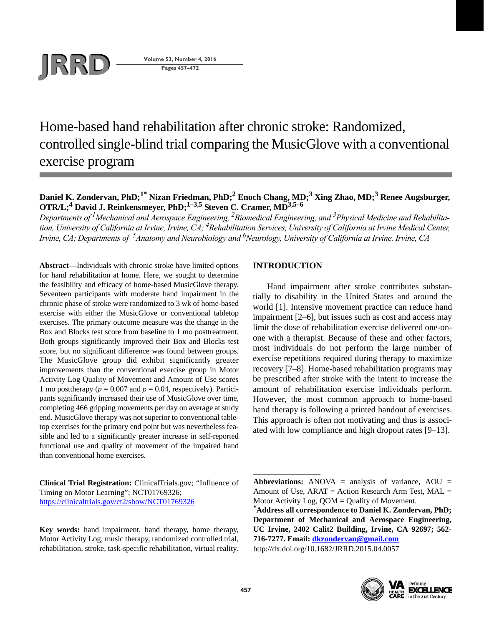

**Pages 457–472**

# Home-based hand rehabilitation after chronic stroke: Randomized, controlled single-blind trial comparing the MusicGlove with a conventional exercise program

# Daniel K. Zondervan, PhD;<sup>1\*</sup> Nizan Friedman, PhD;<sup>2</sup> Enoch Chang, MD;<sup>3</sup> Xing Zhao, MD;<sup>3</sup> Renee Augsburger, **OTR/L;4 David J. Reinkensmeyer, PhD;1–3,5 Steven C. Cramer, MD3,5–6**

*Departments of 1 Mechanical and Aerospace Engineering, 2 Biomedical Engineering, and 3 Physical Medicine and Rehabilitation, University of California at Irvine, Irvine, CA; 4 Rehabilitation Services, University of California at Irvine Medical Center, Irvine, CA; Departments of <sup>5</sup> Anatomy and Neurobiology and 6 Neurology, University of California at Irvine, Irvine, CA*

**Abstract—**Individuals with chronic stroke have limited options for hand rehabilitation at home. Here, we sought to determine the feasibility and efficacy of home-based MusicGlove therapy. Seventeen participants with moderate hand impairment in the chronic phase of stroke were randomized to 3 wk of home-based exercise with either the MusicGlove or conventional tabletop exercises. The primary outcome measure was the change in the Box and Blocks test score from baseline to 1 mo posttreatment. Both groups significantly improved their Box and Blocks test score, but no significant difference was found between groups. The MusicGlove group did exhibit significantly greater improvements than the conventional exercise group in Motor Activity Log Quality of Movement and Amount of Use scores 1 mo posttherapy ( $p = 0.007$  and  $p = 0.04$ , respectively). Participants significantly increased their use of MusicGlove over time, completing 466 gripping movements per day on average at study end. MusicGlove therapy was not superior to conventional tabletop exercises for the primary end point but was nevertheless feasible and led to a significantly greater increase in self-reported functional use and quality of movement of the impaired hand than conventional home exercises.

**Clinical Trial Registration:** ClinicalTrials.gov; "Influence of Timing on Motor Learning"; NCT01769326; https://clinicaltrials.gov/ct2/show/NCT01769326

**Key words:** hand impairment, hand therapy, home therapy, Motor Activity Log, music therapy, randomized controlled trial, rehabilitation, stroke, task-specific rehabilitation, virtual reality.

# **INTRODUCTION**

Hand impairment after stroke contributes substantially to disability in the United States and around the world [1]. Intensive movement practice can reduce hand impairment [2–6], but issues such as cost and access may limit the dose of rehabilitation exercise delivered one-onone with a therapist. Because of these and other factors, most individuals do not perform the large number of exercise repetitions required during therapy to maximize recovery [7–8]. Home-based rehabilitation programs may be prescribed after stroke with the intent to increase the amount of rehabilitation exercise individuals perform. However, the most common approach to home-based hand therapy is following a printed handout of exercises. This approach is often not motivating and thus is associated with low compliance and high dropout rates [9–13].

http://dx.doi.org/10.1682/JRRD.2015.04.0057



**Abbreviations:** ANOVA = analysis of variance,  $AOU$  = Amount of Use,  $ARAT = Action Research Arm Test$ ,  $MAL =$ Motor Activity Log, QOM = Quality of Movement.

**<sup>\*</sup> Address all correspondence to Daniel K. Zondervan, PhD; Department of Mechanical and Aerospace Engineering, UC Irvine, 2402 Calit2 Building, Irvine, CA 92697; 562- 716-7277. Email: [dkzondervan@gmail.com](mailto:dkzondervan@gmail.com)**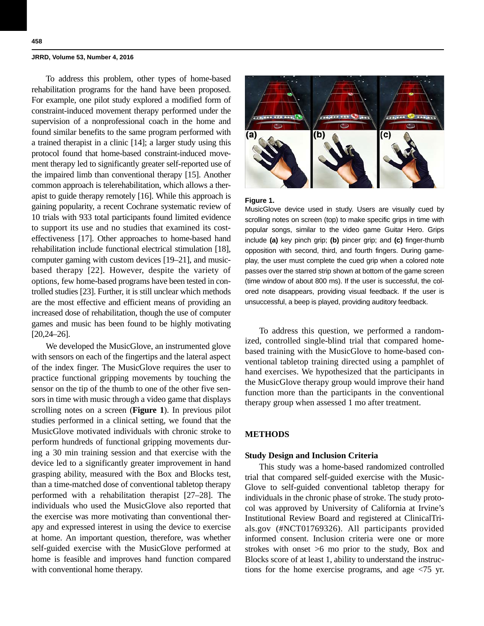To address this problem, other types of home-based rehabilitation programs for the hand have been proposed. For example, one pilot study explored a modified form of constraint-induced movement therapy performed under the supervision of a nonprofessional coach in the home and found similar benefits to the same program performed with a trained therapist in a clinic [14]; a larger study using this protocol found that home-based constraint-induced movement therapy led to significantly greater self-reported use of the impaired limb than conventional therapy [15]. Another common approach is telerehabilitation, which allows a therapist to guide therapy remotely [16]. While this approach is gaining popularity, a recent Cochrane systematic review of 10 trials with 933 total participants found limited evidence to support its use and no studies that examined its costeffectiveness [17]. Other approaches to home-based hand rehabilitation include functional electrical stimulation [18], computer gaming with custom devices [19–21], and musicbased therapy [22]. However, despite the variety of options, few home-based programs have been tested in controlled studies [23]. Further, it is still unclear which methods are the most effective and efficient means of providing an increased dose of rehabilitation, though the use of computer games and music has been found to be highly motivating [20,24–26].

We developed the MusicGlove, an instrumented glove with sensors on each of the fingertips and the lateral aspect of the index finger. The MusicGlove requires the user to practice functional gripping movements by touching the sensor on the tip of the thumb to one of the other five sensors in time with music through a video game that displays scrolling notes on a screen (**Figure 1**). In previous pilot studies performed in a clinical setting, we found that the MusicGlove motivated individuals with chronic stroke to perform hundreds of functional gripping movements during a 30 min training session and that exercise with the device led to a significantly greater improvement in hand grasping ability, measured with the Box and Blocks test, than a time-matched dose of conventional tabletop therapy performed with a rehabilitation therapist [27–28]. The individuals who used the MusicGlove also reported that the exercise was more motivating than conventional therapy and expressed interest in using the device to exercise at home. An important question, therefore, was whether self-guided exercise with the MusicGlove performed at home is feasible and improves hand function compared with conventional home therapy.



#### **Figure 1.**

MusicGlove device used in study. Users are visually cued by scrolling notes on screen (top) to make specific grips in time with popular songs, similar to the video game Guitar Hero. Grips include **(a)** key pinch grip; **(b)** pincer grip; and **(c)** finger-thumb opposition with second, third, and fourth fingers. During gameplay, the user must complete the cued grip when a colored note passes over the starred strip shown at bottom of the game screen (time window of about 800 ms). If the user is successful, the colored note disappears, providing visual feedback. If the user is unsuccessful, a beep is played, providing auditory feedback.

To address this question, we performed a randomized, controlled single-blind trial that compared homebased training with the MusicGlove to home-based conventional tabletop training directed using a pamphlet of hand exercises. We hypothesized that the participants in the MusicGlove therapy group would improve their hand function more than the participants in the conventional therapy group when assessed 1 mo after treatment.

# **METHODS**

# **Study Design and Inclusion Criteria**

This study was a home-based randomized controlled trial that compared self-guided exercise with the Music-Glove to self-guided conventional tabletop therapy for individuals in the chronic phase of stroke. The study protocol was approved by University of California at Irvine's Institutional Review Board and registered at ClinicalTrials.gov (#NCT01769326). All participants provided informed consent. Inclusion criteria were one or more strokes with onset >6 mo prior to the study, Box and Blocks score of at least 1, ability to understand the instructions for the home exercise programs, and age <75 yr.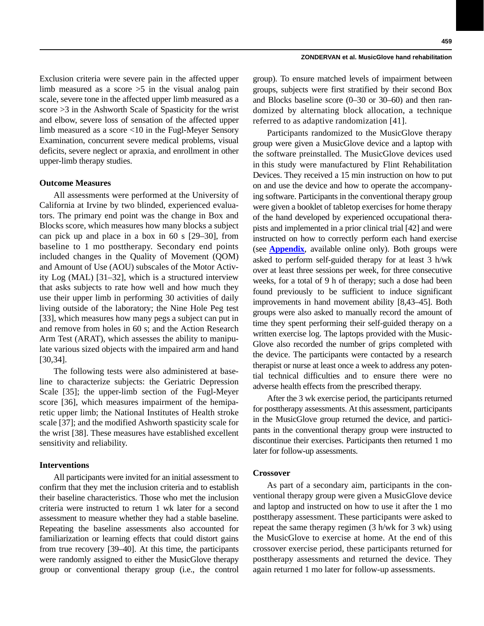Exclusion criteria were severe pain in the affected upper limb measured as a score  $>5$  in the visual analog pain scale, severe tone in the affected upper limb measured as a score >3 in the Ashworth Scale of Spasticity for the wrist and elbow, severe loss of sensation of the affected upper limb measured as a score <10 in the Fugl-Meyer Sensory Examination, concurrent severe medical problems, visual deficits, severe neglect or apraxia, and enrollment in other upper-limb therapy studies.

#### **Outcome Measures**

All assessments were performed at the University of California at Irvine by two blinded, experienced evaluators. The primary end point was the change in Box and Blocks score, which measures how many blocks a subject can pick up and place in a box in 60 s [29–30], from baseline to 1 mo posttherapy. Secondary end points included changes in the Quality of Movement (QOM) and Amount of Use (AOU) subscales of the Motor Activity Log (MAL) [31–32], which is a structured interview that asks subjects to rate how well and how much they use their upper limb in performing 30 activities of daily living outside of the laboratory; the Nine Hole Peg test [33], which measures how many pegs a subject can put in and remove from holes in 60 s; and the Action Research Arm Test (ARAT), which assesses the ability to manipulate various sized objects with the impaired arm and hand [30,34].

The following tests were also administered at baseline to characterize subjects: the Geriatric Depression Scale [35]; the upper-limb section of the Fugl-Meyer score [36], which measures impairment of the hemiparetic upper limb; the National Institutes of Health stroke scale [37]; and the modified Ashworth spasticity scale for the wrist [38]. These measures have established excellent sensitivity and reliability.

## **Interventions**

All participants were invited for an initial assessment to confirm that they met the inclusion criteria and to establish their baseline characteristics. Those who met the inclusion criteria were instructed to return 1 wk later for a second assessment to measure whether they had a stable baseline. Repeating the baseline assessments also accounted for familiarization or learning effects that could distort gains from true recovery [39–40]. At this time, the participants were randomly assigned to either the MusicGlove therapy group or conventional therapy group (i.e., the control

group). To ensure matched levels of impairment between groups, subjects were first stratified by their second Box and Blocks baseline score (0–30 or 30–60) and then randomized by alternating block allocation, a technique referred to as adaptive randomization [41].

Participants randomized to the MusicGlove therapy group were given a MusicGlove device and a laptop with the software preinstalled. The MusicGlove devices used in this study were manufactured by Flint Rehabilitation Devices. They received a 15 min instruction on how to put on and use the device and how to operate the accompanying software. Participants in the conventional therapy group were given a booklet of tabletop exercises for home therapy of the hand developed by experienced occupational therapists and implemented in a prior clinical trial [42] and were instructed on how to correctly perform each hand exercise (see **[Appendix](http://www.rehab.research.va.gov/jour/2016/534/pdf/jrrd-2015-04-0057appn.pdf)**, available online only). Both groups were asked to perform self-guided therapy for at least 3 h/wk over at least three sessions per week, for three consecutive weeks, for a total of 9 h of therapy; such a dose had been found previously to be sufficient to induce significant improvements in hand movement ability [8,43–45]. Both groups were also asked to manually record the amount of time they spent performing their self-guided therapy on a written exercise log. The laptops provided with the Music-Glove also recorded the number of grips completed with the device. The participants were contacted by a research therapist or nurse at least once a week to address any potential technical difficulties and to ensure there were no adverse health effects from the prescribed therapy.

After the 3 wk exercise period, the participants returned for posttherapy assessments. At this assessment, participants in the MusicGlove group returned the device, and participants in the conventional therapy group were instructed to discontinue their exercises. Participants then returned 1 mo later for follow-up assessments.

## **Crossover**

As part of a secondary aim, participants in the conventional therapy group were given a MusicGlove device and laptop and instructed on how to use it after the 1 mo posttherapy assessment. These participants were asked to repeat the same therapy regimen (3 h/wk for 3 wk) using the MusicGlove to exercise at home. At the end of this crossover exercise period, these participants returned for posttherapy assessments and returned the device. They again returned 1 mo later for follow-up assessments.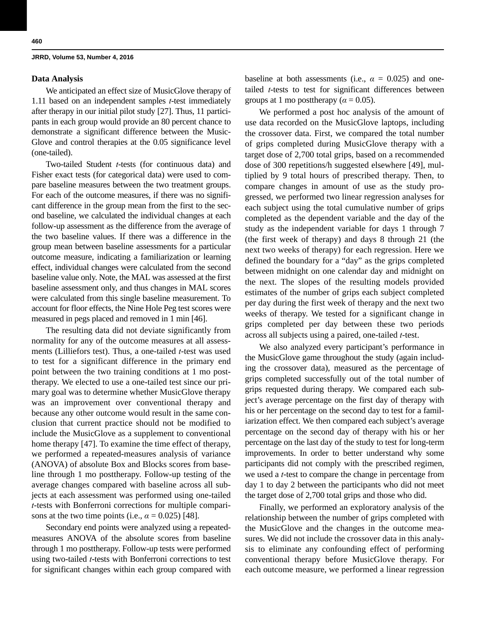## **Data Analysis**

We anticipated an effect size of MusicGlove therapy of 1.11 based on an independent samples *t*-test immediately after therapy in our initial pilot study [27]. Thus, 11 participants in each group would provide an 80 percent chance to demonstrate a significant difference between the Music-Glove and control therapies at the 0.05 significance level (one-tailed).

Two-tailed Student *t*-tests (for continuous data) and Fisher exact tests (for categorical data) were used to compare baseline measures between the two treatment groups. For each of the outcome measures, if there was no significant difference in the group mean from the first to the second baseline, we calculated the individual changes at each follow-up assessment as the difference from the average of the two baseline values. If there was a difference in the group mean between baseline assessments for a particular outcome measure, indicating a familiarization or learning effect, individual changes were calculated from the second baseline value only. Note, the MAL was assessed at the first baseline assessment only, and thus changes in MAL scores were calculated from this single baseline measurement. To account for floor effects, the Nine Hole Peg test scores were measured in pegs placed and removed in 1 min [46].

The resulting data did not deviate significantly from normality for any of the outcome measures at all assessments (Lilliefors test). Thus, a one-tailed *t*-test was used to test for a significant difference in the primary end point between the two training conditions at 1 mo posttherapy. We elected to use a one-tailed test since our primary goal was to determine whether MusicGlove therapy was an improvement over conventional therapy and because any other outcome would result in the same conclusion that current practice should not be modified to include the MusicGlove as a supplement to conventional home therapy [47]. To examine the time effect of therapy, we performed a repeated-measures analysis of variance (ANOVA) of absolute Box and Blocks scores from baseline through 1 mo posttherapy. Follow-up testing of the average changes compared with baseline across all subjects at each assessment was performed using one-tailed *t*-tests with Bonferroni corrections for multiple comparisons at the two time points (i.e.,  $\alpha = 0.025$ ) [48].

Secondary end points were analyzed using a repeatedmeasures ANOVA of the absolute scores from baseline through 1 mo posttherapy. Follow-up tests were performed using two-tailed *t*-tests with Bonferroni corrections to test for significant changes within each group compared with baseline at both assessments (i.e.,  $\alpha = 0.025$ ) and onetailed *t*-tests to test for significant differences between groups at 1 mo posttherapy ( $\alpha$  = 0.05).

We performed a post hoc analysis of the amount of use data recorded on the MusicGlove laptops, including the crossover data. First, we compared the total number of grips completed during MusicGlove therapy with a target dose of 2,700 total grips, based on a recommended dose of 300 repetitions/h suggested elsewhere [49], multiplied by 9 total hours of prescribed therapy. Then, to compare changes in amount of use as the study progressed, we performed two linear regression analyses for each subject using the total cumulative number of grips completed as the dependent variable and the day of the study as the independent variable for days 1 through 7 (the first week of therapy) and days 8 through 21 (the next two weeks of therapy) for each regression. Here we defined the boundary for a "day" as the grips completed between midnight on one calendar day and midnight on the next. The slopes of the resulting models provided estimates of the number of grips each subject completed per day during the first week of therapy and the next two weeks of therapy. We tested for a significant change in grips completed per day between these two periods across all subjects using a paired, one-tailed *t*-test.

We also analyzed every participant's performance in the MusicGlove game throughout the study (again including the crossover data), measured as the percentage of grips completed successfully out of the total number of grips requested during therapy. We compared each subject's average percentage on the first day of therapy with his or her percentage on the second day to test for a familiarization effect. We then compared each subject's average percentage on the second day of therapy with his or her percentage on the last day of the study to test for long-term improvements. In order to better understand why some participants did not comply with the prescribed regimen, we used a *t*-test to compare the change in percentage from day 1 to day 2 between the participants who did not meet the target dose of 2,700 total grips and those who did.

Finally, we performed an exploratory analysis of the relationship between the number of grips completed with the MusicGlove and the changes in the outcome measures. We did not include the crossover data in this analysis to eliminate any confounding effect of performing conventional therapy before MusicGlove therapy. For each outcome measure, we performed a linear regression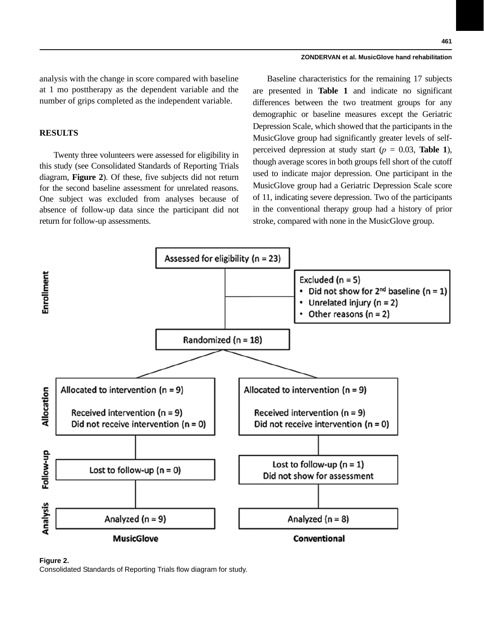analysis with the change in score compared with baseline at 1 mo posttherapy as the dependent variable and the number of grips completed as the independent variable.

## **RESULTS**

Twenty three volunteers were assessed for eligibility in this study (see Consolidated Standards of Reporting Trials diagram, **Figure 2**). Of these, five subjects did not return for the second baseline assessment for unrelated reasons. One subject was excluded from analyses because of absence of follow-up data since the participant did not return for follow-up assessments.

Baseline characteristics for the remaining 17 subjects are presented in **Table 1** and indicate no significant differences between the two treatment groups for any demographic or baseline measures except the Geriatric Depression Scale, which showed that the participants in the MusicGlove group had significantly greater levels of selfperceived depression at study start ( $p = 0.03$ , **Table 1**), though average scores in both groups fell short of the cutoff used to indicate major depression. One participant in the MusicGlove group had a Geriatric Depression Scale score of 11, indicating severe depression. Two of the participants in the conventional therapy group had a history of prior stroke, compared with none in the MusicGlove group.



## **Figure 2.**

Consolidated Standards of Reporting Trials flow diagram for study.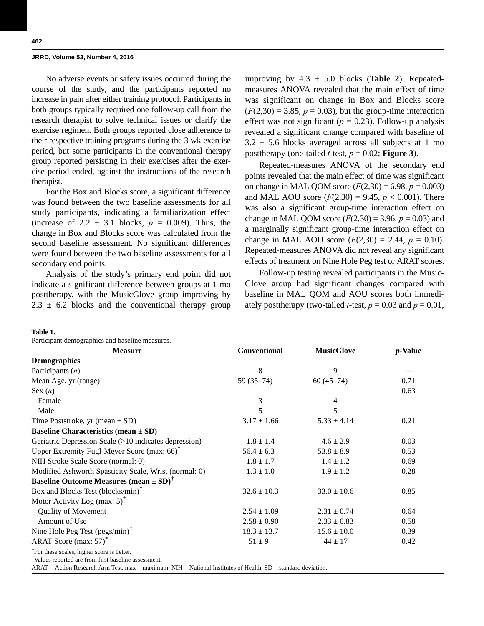No adverse events or safety issues occurred during the course of the study, and the participants reported no increase in pain after either training protocol. Participants in both groups typically required one follow-up call from the research therapist to solve technical issues or clarify the exercise regimen. Both groups reported close adherence to their respective training programs during the 3 wk exercise period, but some participants in the conventional therapy group reported persisting in their exercises after the exercise period ended, against the instructions of the research therapist.

For the Box and Blocks score, a significant difference was found between the two baseline assessments for all study participants, indicating a familiarization effect (increase of 2.2  $\pm$  3.1 blocks,  $p = 0.009$ ). Thus, the change in Box and Blocks score was calculated from the second baseline assessment. No significant differences were found between the two baseline assessments for all secondary end points.

Analysis of the study's primary end point did not indicate a significant difference between groups at 1 mo posttherapy, with the MusicGlove group improving by  $2.3 \pm 6.2$  blocks and the conventional therapy group improving by  $4.3 \pm 5.0$  blocks (**Table 2**). Repeatedmeasures ANOVA revealed that the main effect of time was significant on change in Box and Blocks score  $(F(2,30) = 3.85, p = 0.03)$ , but the group-time interaction effect was not significant ( $p = 0.23$ ). Follow-up analysis revealed a significant change compared with baseline of  $3.2 \pm 5.6$  blocks averaged across all subjects at 1 mo posttherapy (one-tailed *t*-test,  $p = 0.02$ ; **Figure 3**).

Repeated-measures ANOVA of the secondary end points revealed that the main effect of time was significant on change in MAL QOM score  $(F(2,30) = 6.98, p = 0.003)$ and MAL AOU score  $(F(2,30) = 9.45, p < 0.001)$ . There was also a significant group-time interaction effect on change in MAL OOM score  $(F(2,30) = 3.96, p = 0.03)$  and a marginally significant group-time interaction effect on change in MAL AOU score  $(F(2,30) = 2.44, p = 0.10)$ . Repeated-measures ANOVA did not reveal any significant effects of treatment on Nine Hole Peg test or ARAT scores.

Follow-up testing revealed participants in the Music-Glove group had significant changes compared with baseline in MAL QOM and AOU scores both immediately posttherapy (two-tailed *t*-test,  $p = 0.03$  and  $p = 0.01$ ,

## **Table 1.**

| <b>Measure</b>                                              | Conventional    | <b>MusicGlove</b> | $p$ -Value |
|-------------------------------------------------------------|-----------------|-------------------|------------|
| <b>Demographics</b>                                         |                 |                   |            |
| Participants $(n)$                                          | 8               | 9                 |            |
| Mean Age, yr (range)                                        | $59(35-74)$     | $60(45-74)$       | 0.71       |
| Sex(n)                                                      |                 |                   | 0.63       |
| Female                                                      | 3               | $\overline{4}$    |            |
| Male                                                        | 5               | 5                 |            |
| Time Poststroke, yr (mean $\pm$ SD)                         | $3.17 \pm 1.66$ | $5.33 \pm 4.14$   | 0.21       |
| <b>Baseline Characteristics (mean <math>\pm</math> SD)</b>  |                 |                   |            |
| Geriatric Depression Scale (>10 indicates depression)       | $1.8 \pm 1.4$   | $4.6 \pm 2.9$     | 0.03       |
| Upper Extremity Fugl-Meyer Score (max: 66) <sup>*</sup>     | $56.4 \pm 6.3$  | $53.8 \pm 8.9$    | 0.53       |
| NIH Stroke Scale Score (normal: 0)                          | $1.8 \pm 1.7$   | $1.4 \pm 1.2$     | 0.69       |
| Modified Ashworth Spasticity Scale, Wrist (normal: 0)       | $1.3 \pm 1.0$   | $1.9 \pm 1.2$     | 0.28       |
| Baseline Outcome Measures (mean $\pm$ SD) <sup>†</sup>      |                 |                   |            |
| Box and Blocks Test (blocks/min)*                           | $32.6 \pm 10.3$ | $33.0 \pm 10.6$   | 0.85       |
| Motor Activity Log (max: $5^{\circ}$ )                      |                 |                   |            |
| <b>Quality of Movement</b>                                  | $2.54 \pm 1.09$ | $2.31 \pm 0.74$   | 0.64       |
| Amount of Use                                               | $2.58 \pm 0.90$ | $2.33 \pm 0.83$   | 0.58       |
| Nine Hole Peg Test (pegs/min) <sup>*</sup>                  | $18.3 \pm 13.7$ | $15.6 \pm 10.0$   | 0.39       |
| ARAT Score (max: 57) <sup>*</sup>                           | $51 \pm 9$      | $44 \pm 17$       | 0.42       |
| $*E_{\alpha r}$ these seedes $\alpha$ higher seem is better |                 |                   |            |

or these scales, higher score is bett

†Values reported are from first baseline assessment.

ARAT = Action Research Arm Test, max = maximum, NIH = National Institutes of Health, SD = standard deviation.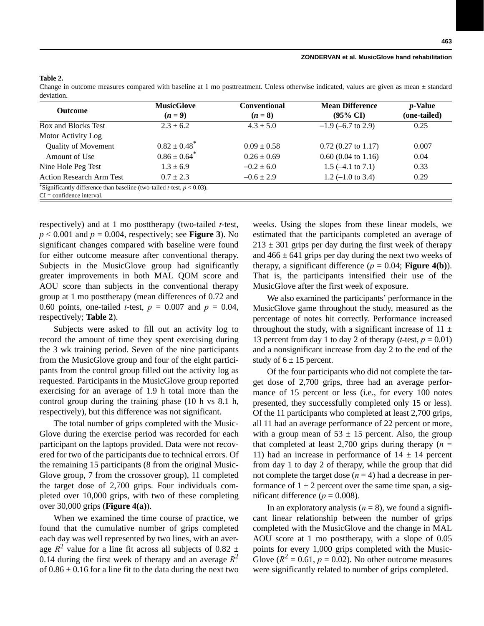| <b>Outcome</b>                  | <b>MusicGlove</b><br>$(n=9)$ | <b>Conventional</b><br>$(n=8)$ | <b>Mean Difference</b><br>$(95\% \text{ CI})$ | <i>p</i> -Value<br>(one-tailed) |
|---------------------------------|------------------------------|--------------------------------|-----------------------------------------------|---------------------------------|
| <b>Box and Blocks Test</b>      | $2.3 \pm 6.2$                | $4.3 \pm 5.0$                  | $-1.9$ (-6.7 to 2.9)                          | 0.25                            |
| Motor Activity Log              |                              |                                |                                               |                                 |
| <b>Quality of Movement</b>      | $0.82 \pm 0.48$ <sup>*</sup> | $0.09 \pm 0.58$                | $0.72$ (0.27 to 1.17)                         | 0.007                           |
| Amount of Use                   | $0.86 \pm 0.64$ <sup>*</sup> | $0.26 \pm 0.69$                | $0.60$ (0.04 to 1.16)                         | 0.04                            |
| Nine Hole Peg Test              | $1.3 \pm 6.9$                | $-0.2 \pm 6.0$                 | $1.5$ (-4.1 to 7.1)                           | 0.33                            |
| <b>Action Research Arm Test</b> | $0.7 \pm 2.3$                | $-0.6 \pm 2.9$                 | $1.2$ (-1.0 to 3.4)                           | 0.29                            |

#### **Table 2.**

Change in outcome measures compared with baseline at 1 mo posttreatment. Unless otherwise indicated, values are given as mean  $\pm$  standard deviation.

respectively) and at 1 mo posttherapy (two-tailed *t*-test,  $p < 0.001$  and  $p = 0.004$ , respectively; see **Figure 3**). No significant changes compared with baseline were found for either outcome measure after conventional therapy. Subjects in the MusicGlove group had significantly greater improvements in both MAL QOM score and AOU score than subjects in the conventional therapy group at 1 mo posttherapy (mean differences of 0.72 and 0.60 points, one-tailed *t*-test,  $p = 0.007$  and  $p = 0.04$ , respectively; **Table 2**).

Subjects were asked to fill out an activity log to record the amount of time they spent exercising during the 3 wk training period. Seven of the nine participants from the MusicGlove group and four of the eight participants from the control group filled out the activity log as requested. Participants in the MusicGlove group reported exercising for an average of 1.9 h total more than the control group during the training phase (10 h vs 8.1 h, respectively), but this difference was not significant.

The total number of grips completed with the Music-Glove during the exercise period was recorded for each participant on the laptops provided. Data were not recovered for two of the participants due to technical errors. Of the remaining 15 participants (8 from the original Music-Glove group, 7 from the crossover group), 11 completed the target dose of 2,700 grips. Four individuals completed over 10,000 grips, with two of these completing over 30,000 grips (**Figure 4(a)**).

When we examined the time course of practice, we found that the cumulative number of grips completed each day was well represented by two lines, with an average  $R^2$  value for a line fit across all subjects of 0.82  $\pm$ 0.14 during the first week of therapy and an average  $R^2$ of  $0.86 \pm 0.16$  for a line fit to the data during the next two

weeks. Using the slopes from these linear models, we estimated that the participants completed an average of  $213 \pm 301$  grips per day during the first week of therapy and  $466 \pm 641$  grips per day during the next two weeks of therapy, a significant difference  $(p = 0.04;$  **Figure 4(b)**). That is, the participants intensified their use of the MusicGlove after the first week of exposure.

We also examined the participants' performance in the MusicGlove game throughout the study, measured as the percentage of notes hit correctly. Performance increased throughout the study, with a significant increase of  $11 \pm$ 13 percent from day 1 to day 2 of therapy (*t*-test,  $p = 0.01$ ) and a nonsignificant increase from day 2 to the end of the study of  $6 \pm 15$  percent.

Of the four participants who did not complete the target dose of 2,700 grips, three had an average performance of 15 percent or less (i.e., for every 100 notes presented, they successfully completed only 15 or less). Of the 11 participants who completed at least 2,700 grips, all 11 had an average performance of 22 percent or more, with a group mean of  $53 \pm 15$  percent. Also, the group that completed at least 2,700 grips during therapy  $(n =$ 11) had an increase in performance of  $14 \pm 14$  percent from day 1 to day 2 of therapy, while the group that did not complete the target dose  $(n = 4)$  had a decrease in performance of  $1 \pm 2$  percent over the same time span, a significant difference ( $p = 0.008$ ).

In an exploratory analysis  $(n = 8)$ , we found a significant linear relationship between the number of grips completed with the MusicGlove and the change in MAL AOU score at 1 mo posttherapy, with a slope of 0.05 points for every 1,000 grips completed with the Music-Glove  $(R^2 = 0.61, p = 0.02)$ . No other outcome measures were significantly related to number of grips completed.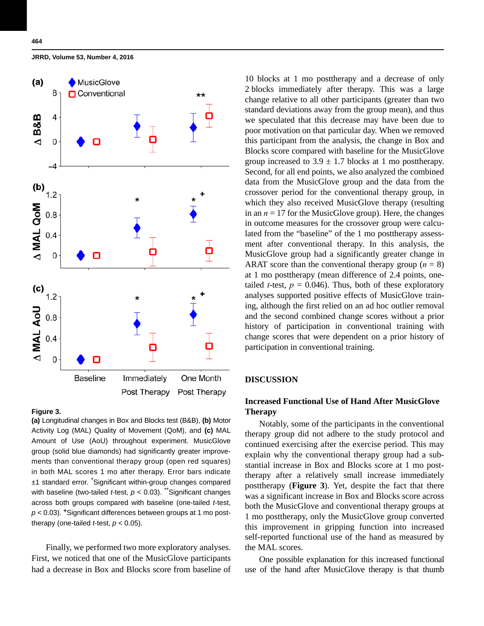

## **Figure 3.**

**(a)** Longitudinal changes in Box and Blocks test (B&B), **(b)** Motor Activity Log (MAL) Quality of Movement (QoM), and **(c)** MAL Amount of Use (AoU) throughout experiment. MusicGlove group (solid blue diamonds) had significantly greater improvements than conventional therapy group (open red squares) in both MAL scores 1 mo after therapy. Error bars indicate ±1 standard error. \* Significant within-group changes compared with baseline (two-tailed *t*-test, *p* < 0.03). \*\*Significant changes across both groups compared with baseline (one-tailed *t*-test, *p* < 0.03). **+**Significant differences between groups at 1 mo posttherapy (one-tailed *t*-test,  $p < 0.05$ ).

Finally, we performed two more exploratory analyses. First, we noticed that one of the MusicGlove participants had a decrease in Box and Blocks score from baseline of

10 blocks at 1 mo posttherapy and a decrease of only 2 blocks immediately after therapy. This was a large change relative to all other participants (greater than two standard deviations away from the group mean), and thus we speculated that this decrease may have been due to poor motivation on that particular day. When we removed this participant from the analysis, the change in Box and Blocks score compared with baseline for the MusicGlove group increased to  $3.9 \pm 1.7$  blocks at 1 mo posttherapy. Second, for all end points, we also analyzed the combined data from the MusicGlove group and the data from the crossover period for the conventional therapy group, in which they also received MusicGlove therapy (resulting in an  $n = 17$  for the MusicGlove group). Here, the changes in outcome measures for the crossover group were calculated from the "baseline" of the 1 mo posttherapy assessment after conventional therapy. In this analysis, the MusicGlove group had a significantly greater change in ARAT score than the conventional therapy group  $(n = 8)$ at 1 mo posttherapy (mean difference of 2.4 points, onetailed *t*-test,  $p = 0.046$ . Thus, both of these exploratory analyses supported positive effects of MusicGlove training, although the first relied on an ad hoc outlier removal and the second combined change scores without a prior history of participation in conventional training with change scores that were dependent on a prior history of participation in conventional training.

## **DISCUSSION**

# **Increased Functional Use of Hand After MusicGlove Therapy**

Notably, some of the participants in the conventional therapy group did not adhere to the study protocol and continued exercising after the exercise period. This may explain why the conventional therapy group had a substantial increase in Box and Blocks score at 1 mo posttherapy after a relatively small increase immediately posttherapy (**Figure 3**). Yet, despite the fact that there was a significant increase in Box and Blocks score across both the MusicGlove and conventional therapy groups at 1 mo posttherapy, only the MusicGlove group converted this improvement in gripping function into increased self-reported functional use of the hand as measured by the MAL scores.

One possible explanation for this increased functional use of the hand after MusicGlove therapy is that thumb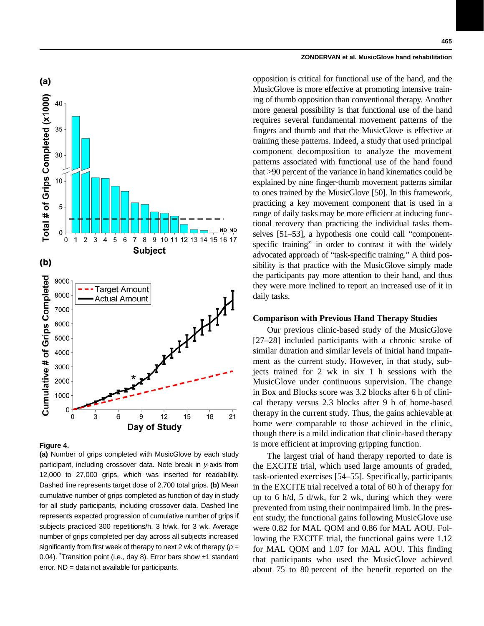

#### **Figure 4.**

**(a)** Number of grips completed with MusicGlove by each study participant, including crossover data. Note break in *y*-axis from 12,000 to 27,000 grips, which was inserted for readability. Dashed line represents target dose of 2,700 total grips. **(b)** Mean cumulative number of grips completed as function of day in study for all study participants, including crossover data. Dashed line represents expected progression of cumulative number of grips if subjects practiced 300 repetitions/h, 3 h/wk, for 3 wk. Average number of grips completed per day across all subjects increased significantly from first week of therapy to next 2 wk of therapy (*p* = 0.04). \* Transition point (i.e., day 8). Error bars show ±1 standard error. ND = data not available for participants.

### **ZONDERVAN et al. MusicGlove hand rehabilitation**

opposition is critical for functional use of the hand, and the MusicGlove is more effective at promoting intensive training of thumb opposition than conventional therapy. Another more general possibility is that functional use of the hand requires several fundamental movement patterns of the fingers and thumb and that the MusicGlove is effective at training these patterns. Indeed, a study that used principal component decomposition to analyze the movement patterns associated with functional use of the hand found that >90 percent of the variance in hand kinematics could be explained by nine finger-thumb movement patterns similar to ones trained by the MusicGlove [50]. In this framework, practicing a key movement component that is used in a range of daily tasks may be more efficient at inducing functional recovery than practicing the individual tasks themselves [51–53], a hypothesis one could call "componentspecific training" in order to contrast it with the widely advocated approach of "task-specific training." A third possibility is that practice with the MusicGlove simply made the participants pay more attention to their hand, and thus they were more inclined to report an increased use of it in daily tasks.

## **Comparison with Previous Hand Therapy Studies**

Our previous clinic-based study of the MusicGlove [27–28] included participants with a chronic stroke of similar duration and similar levels of initial hand impairment as the current study. However, in that study, subjects trained for 2 wk in six 1 h sessions with the MusicGlove under continuous supervision. The change in Box and Blocks score was 3.2 blocks after 6 h of clinical therapy versus 2.3 blocks after 9 h of home-based therapy in the current study. Thus, the gains achievable at home were comparable to those achieved in the clinic, though there is a mild indication that clinic-based therapy is more efficient at improving gripping function.

The largest trial of hand therapy reported to date is the EXCITE trial, which used large amounts of graded, task-oriented exercises [54–55]. Specifically, participants in the EXCITE trial received a total of 60 h of therapy for up to 6 h/d, 5 d/wk, for 2 wk, during which they were prevented from using their nonimpaired limb. In the present study, the functional gains following MusicGlove use were 0.82 for MAL QOM and 0.86 for MAL AOU. Following the EXCITE trial, the functional gains were 1.12 for MAL QOM and 1.07 for MAL AOU. This finding that participants who used the MusicGlove achieved about 75 to 80 percent of the benefit reported on the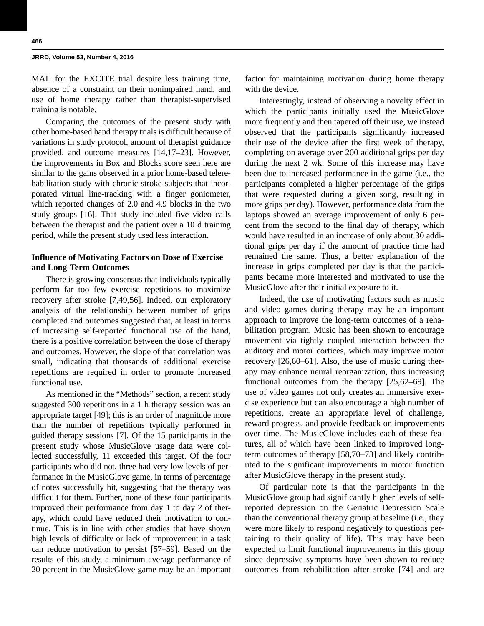MAL for the EXCITE trial despite less training time, absence of a constraint on their nonimpaired hand, and use of home therapy rather than therapist-supervised training is notable.

Comparing the outcomes of the present study with other home-based hand therapy trials is difficult because of variations in study protocol, amount of therapist guidance provided, and outcome measures [14,17–23]. However, the improvements in Box and Blocks score seen here are similar to the gains observed in a prior home-based telerehabilitation study with chronic stroke subjects that incorporated virtual line-tracking with a finger goniometer, which reported changes of 2.0 and 4.9 blocks in the two study groups [16]. That study included five video calls between the therapist and the patient over a 10 d training period, while the present study used less interaction.

# **Influence of Motivating Factors on Dose of Exercise and Long-Term Outcomes**

There is growing consensus that individuals typically perform far too few exercise repetitions to maximize recovery after stroke [7,49,56]. Indeed, our exploratory analysis of the relationship between number of grips completed and outcomes suggested that, at least in terms of increasing self-reported functional use of the hand, there is a positive correlation between the dose of therapy and outcomes. However, the slope of that correlation was small, indicating that thousands of additional exercise repetitions are required in order to promote increased functional use.

As mentioned in the "Methods" section, a recent study suggested 300 repetitions in a 1 h therapy session was an appropriate target [49]; this is an order of magnitude more than the number of repetitions typically performed in guided therapy sessions [7]. Of the 15 participants in the present study whose MusicGlove usage data were collected successfully, 11 exceeded this target. Of the four participants who did not, three had very low levels of performance in the MusicGlove game, in terms of percentage of notes successfully hit, suggesting that the therapy was difficult for them. Further, none of these four participants improved their performance from day 1 to day 2 of therapy, which could have reduced their motivation to continue. This is in line with other studies that have shown high levels of difficulty or lack of improvement in a task can reduce motivation to persist [57–59]. Based on the results of this study, a minimum average performance of 20 percent in the MusicGlove game may be an important factor for maintaining motivation during home therapy with the device.

Interestingly, instead of observing a novelty effect in which the participants initially used the MusicGlove more frequently and then tapered off their use, we instead observed that the participants significantly increased their use of the device after the first week of therapy, completing on average over 200 additional grips per day during the next 2 wk. Some of this increase may have been due to increased performance in the game (i.e., the participants completed a higher percentage of the grips that were requested during a given song, resulting in more grips per day). However, performance data from the laptops showed an average improvement of only 6 percent from the second to the final day of therapy, which would have resulted in an increase of only about 30 additional grips per day if the amount of practice time had remained the same. Thus, a better explanation of the increase in grips completed per day is that the participants became more interested and motivated to use the MusicGlove after their initial exposure to it.

Indeed, the use of motivating factors such as music and video games during therapy may be an important approach to improve the long-term outcomes of a rehabilitation program. Music has been shown to encourage movement via tightly coupled interaction between the auditory and motor cortices, which may improve motor recovery [26,60–61]. Also, the use of music during therapy may enhance neural reorganization, thus increasing functional outcomes from the therapy [25,62–69]. The use of video games not only creates an immersive exercise experience but can also encourage a high number of repetitions, create an appropriate level of challenge, reward progress, and provide feedback on improvements over time. The MusicGlove includes each of these features, all of which have been linked to improved longterm outcomes of therapy [58,70–73] and likely contributed to the significant improvements in motor function after MusicGlove therapy in the present study.

Of particular note is that the participants in the MusicGlove group had significantly higher levels of selfreported depression on the Geriatric Depression Scale than the conventional therapy group at baseline (i.e., they were more likely to respond negatively to questions pertaining to their quality of life). This may have been expected to limit functional improvements in this group since depressive symptoms have been shown to reduce outcomes from rehabilitation after stroke [74] and are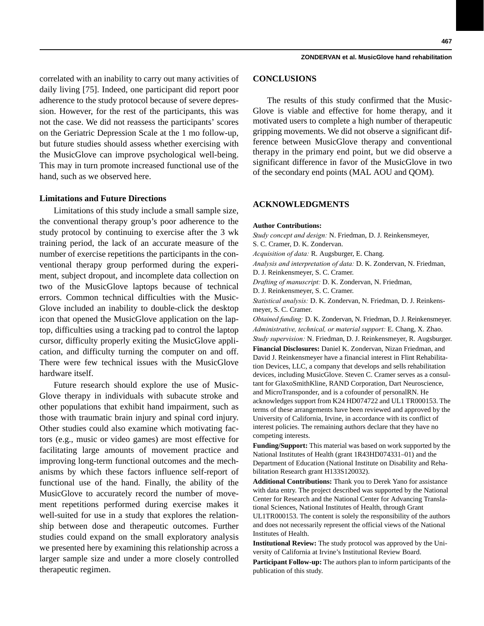correlated with an inability to carry out many activities of daily living [75]. Indeed, one participant did report poor adherence to the study protocol because of severe depression. However, for the rest of the participants, this was not the case. We did not reassess the participants' scores on the Geriatric Depression Scale at the 1 mo follow-up, but future studies should assess whether exercising with the MusicGlove can improve psychological well-being. This may in turn promote increased functional use of the hand, such as we observed here.

## **Limitations and Future Directions**

Limitations of this study include a small sample size, the conventional therapy group's poor adherence to the study protocol by continuing to exercise after the 3 wk training period, the lack of an accurate measure of the number of exercise repetitions the participants in the conventional therapy group performed during the experiment, subject dropout, and incomplete data collection on two of the MusicGlove laptops because of technical errors. Common technical difficulties with the Music-Glove included an inability to double-click the desktop icon that opened the MusicGlove application on the laptop, difficulties using a tracking pad to control the laptop cursor, difficulty properly exiting the MusicGlove application, and difficulty turning the computer on and off. There were few technical issues with the MusicGlove hardware itself.

Future research should explore the use of Music-Glove therapy in individuals with subacute stroke and other populations that exhibit hand impairment, such as those with traumatic brain injury and spinal cord injury. Other studies could also examine which motivating factors (e.g., music or video games) are most effective for facilitating large amounts of movement practice and improving long-term functional outcomes and the mechanisms by which these factors influence self-report of functional use of the hand. Finally, the ability of the MusicGlove to accurately record the number of movement repetitions performed during exercise makes it well-suited for use in a study that explores the relationship between dose and therapeutic outcomes. Further studies could expand on the small exploratory analysis we presented here by examining this relationship across a larger sample size and under a more closely controlled therapeutic regimen.

## **CONCLUSIONS**

The results of this study confirmed that the Music-Glove is viable and effective for home therapy, and it motivated users to complete a high number of therapeutic gripping movements. We did not observe a significant difference between MusicGlove therapy and conventional therapy in the primary end point, but we did observe a significant difference in favor of the MusicGlove in two of the secondary end points (MAL AOU and QOM).

## **ACKNOWLEDGMENTS**

#### **Author Contributions:**

*Study concept and design:* N. Friedman, D. J. Reinkensmeyer, S. C. Cramer, D. K. Zondervan. *Acquisition of data:* R. Augsburger, E. Chang. *Analysis and interpretation of data:* D. K. Zondervan, N. Friedman, D. J. Reinkensmeyer, S. C. Cramer. *Drafting of manuscript:* D. K. Zondervan, N. Friedman, D. J. Reinkensmeyer, S. C. Cramer. *Statistical analysis:* D. K. Zondervan, N. Friedman, D. J. Reinkensmeyer, S. C. Cramer. *Obtained funding:* D. K. Zondervan, N. Friedman, D. J. Reinkensmeyer. *Administrative, technical, or material support:* E. Chang, X. Zhao.

*Study supervision:* N. Friedman, D. J. Reinkensmeyer, R. Augsburger. **Financial Disclosures:** Daniel K. Zondervan, Nizan Friedman, and David J. Reinkensmeyer have a financial interest in Flint Rehabilitation Devices, LLC, a company that develops and sells rehabilitation devices, including MusicGlove. Steven C. Cramer serves as a consultant for GlaxoSmithKline, RAND Corporation, Dart Neuroscience, and MicroTransponder, and is a cofounder of personalRN. He acknowledges support from K24 HD074722 and UL1 TR000153. The terms of these arrangements have been reviewed and approved by the University of California, Irvine, in accordance with its conflict of interest policies. The remaining authors declare that they have no competing interests.

**Funding/Support:** This material was based on work supported by the National Institutes of Health (grant 1R43HD074331–01) and the Department of Education (National Institute on Disability and Rehabilitation Research grant H133S120032).

**Additional Contributions:** Thank you to Derek Yano for assistance with data entry. The project described was supported by the National Center for Research and the National Center for Advancing Translational Sciences, National Institutes of Health, through Grant

UL1TR000153. The content is solely the responsibility of the authors and does not necessarily represent the official views of the National Institutes of Health.

**Institutional Review:** The study protocol was approved by the University of California at Irvine's Institutional Review Board.

**Participant Follow-up:** The authors plan to inform participants of the publication of this study.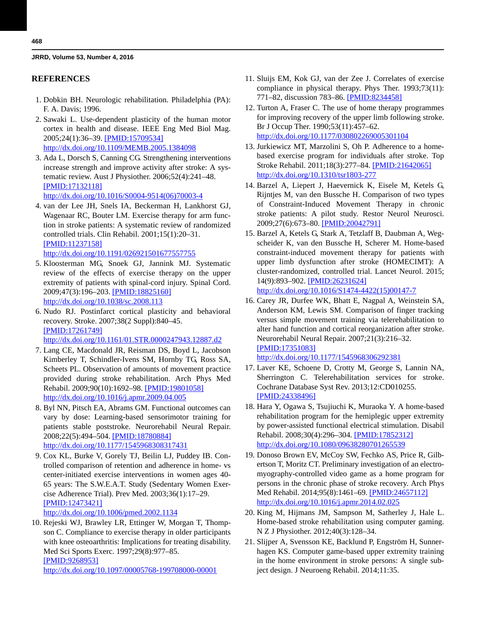## **REFERENCES**

- 1. Dobkin BH. Neurologic rehabilitation. Philadelphia (PA): F. A. Davis; 1996.
- 2. Sawaki L. Use-dependent plasticity of the human motor cortex in health and disease. IEEE Eng Med Biol Mag. 2005;24(1):36–39. [\[PMID:15709534\]](http://www.ncbi.nlm.nih.gov/entrez/query.fcgi?cmd=Retrieve&db=PubMed&list_uids=15709534&dopt=Abstract) [h](http://www.ncbi.nlm.nih.gov/entrez/query.fcgi?cmd=Retrieve&db=PubMed&list_uids=15709534&dopt=Abstract)[ttp://dx.doi.org/10.1109/MEMB.2005.1384098](http://dx.doi.org/10.1109/MEMB.2005.1384098)
- 3. Ada L, Dorsch S, Canning CG. Strengthening interventions increase strength and improve activity after stroke: A systematic review. Aust J Physiother. 2006;52(4):241–48. [\[PMID:17132118\]](http://www.ncbi.nlm.nih.gov/entrez/query.fcgi?cmd=Retrieve&db=PubMed&list_uids=17132118&dopt=Abstract)

[h](http://www.ncbi.nlm.nih.gov/entrez/query.fcgi?cmd=Retrieve&db=PubMed&list_uids=17132118&dopt=Abstract)[ttp://dx.d](http://dx.doi.org/10.1016/S0004-9514(06)70003-4)[oi.org/10.1016/S0004-9514\(06\)70003-4](http://www.ncbi.nlm.nih.gov/pubmed/17540965)

 4. van der Lee JH, Snels IA, Beckerman H, Lankhorst GJ, Wagenaar RC, Bouter LM. Exercise therapy for arm function in stroke patients: A systematic review of randomized controlled trials. Clin Rehabil. 2001;15(1):20–31. [\[PMID:11237158\]](http://www.ncbi.nlm.nih.gov/entrez/query.fcgi?cmd=Retrieve&db=PubMed&list_uids=11237158&dopt=Abstract)

[h](http://www.ncbi.nlm.nih.gov/entrez/query.fcgi?cmd=Retrieve&db=PubMed&list_uids=11237158&dopt=Abstract)[ttp://dx.doi.org/10.1191/026921501677557755](http://dx.doi.org/10.1191/026921501677557755)

- 5. Kloosterman MG, Snoek GJ, Jannink MJ. Systematic review of the effects of exercise therapy on the upper extremity of patients with spinal-cord injury. Spinal Cord. 2009;47(3):196–203. [\[PMID:188251](http://www.ncbi.nlm.nih.gov/entrez/query.fcgi?cmd=Retrieve&db=PubMed&list_uids=18825160&dopt=Abstract)[60\]](http://www.ncbi.nlm.nih.gov/pubmed/24187278) [h](http://www.ncbi.nlm.nih.gov/pubmed/24187278)[ttp://dx.d](http://dx.doi.org/10.1038/sc.2008.113)[oi.org/10.1038/sc.2008.113](http://dx.doi.org/10.1109/ICORR.2013.6650461)
- 6. Nudo RJ. Postinfarct cortical plasticity and behavioral recovery. Stroke. 2007;38(2 Suppl):840–45. [\[PMID:17261749\]](http://www.ncbi.nlm.nih.gov/entrez/query.fcgi?cmd=Retrieve&db=PubMed&list_uids=17261749&dopt=Abstract)

[h](http://www.ncbi.nlm.nih.gov/entrez/query.fcgi?cmd=Retrieve&db=PubMed&list_uids=17261749&dopt=Abstract)[ttp://dx.doi.org/10.1161/01.STR.0000247943.12887.d2](http://dx.doi.org/10.1161/01.STR.0000247943.12887.d2)

- 7. Lang CE, Macdonald JR, Reisman DS, Boyd L, Jacobson Kimberley T, Schindler-Ivens SM, Hornby TG, Ross SA, Scheets PL. Observation of amounts of movement practice provided during stroke rehabilitation. Arch Phys Med Rehabil. 2009;90(10):1692–98. [\[PMID:19801058\]](http://www.ncbi.nlm.nih.gov/entrez/query.fcgi?cmd=Retrieve&db=PubMed&list_uids=19801058&dopt=Abstract) [h](http://www.ncbi.nlm.nih.gov/entrez/query.fcgi?cmd=Retrieve&db=PubMed&list_uids=19801058&dopt=Abstract)[ttp://dx.doi.org/10.1016/j.apmr.2009.04.005](http://dx.doi.org/10.1016/j.apmr.2009.04.005)
- 8. Byl NN, Pitsch EA, Abrams GM. Functional outcomes can vary by dose: Learning-based sensorimotor training for patients stable poststroke. Neurorehabil Neural Repair. 2008;22(5):494–504. [\[PMID:18780884\]](http://www.ncbi.nlm.nih.gov/entrez/query.fcgi?cmd=Retrieve&db=PubMed&list_uids=18780884&dopt=Abstract) [h](http://www.ncbi.nlm.nih.gov/entrez/query.fcgi?cmd=Retrieve&db=PubMed&list_uids=18780884&dopt=Abstract)[ttp://dx.doi.org/10.1177/1545968308317431](http://dx.doi.org/10.1177/1545968308317431)
- 9. Cox KL, Burke V, Gorely TJ, Beilin LJ, Puddey IB. Controlled comparison of retention and adherence in home- vs center-initiated exercise interventions in women ages 40- 65 years: The S.W.E.A.T. Study (Sedentary Women Exercise Adherence Trial). Prev Med. 2003;36(1):17–29. [\[PMID:12473421\]](http://www.ncbi.nlm.nih.gov/entrez/query.fcgi?cmd=Retrieve&db=PubMed&list_uids=12473421&dopt=Abstract)

[h](http://www.ncbi.nlm.nih.gov/entrez/query.fcgi?cmd=Retrieve&db=PubMed&list_uids=12473421&dopt=Abstract)[ttp://dx.doi.](http://dx.doi.org/10.1006/pmed.2002.1134)[org/10.1006/pmed](http://www.ncbi.nlm.nih.gov/entrez/query.fcgi?cmd=Retrieve&db=PubMed&list_uids=22524371&dopt=Abstract)[.2002.1134](http://dx.doi.org/10.1111/j.1749-6632.2011.06436.x)

10. Rejeski WJ, Brawley LR, Ettinger W, Morgan T, Thompson C. Compliance to exercise therapy in older participants with knee osteoarthritis: Implications for treating disability. Med Sci Sports Exerc. 1997;29(8):977–85. [\[PMID:9268953\]](http://www.ncbi.nlm.nih.gov/entrez/query.fcgi?cmd=Retrieve&db=PubMed&list_uids=9268953&dopt=Abstract)

[h](http://www.ncbi.nlm.nih.gov/entrez/query.fcgi?cmd=Retrieve&db=PubMed&list_uids=9268953&dopt=Abstract)[ttp://dx.doi.org/10.1097/00005768-199708000-00001](http://dx.doi.org/10.1097/00005768-199708000-00001)

- 11. Sluijs EM, Kok GJ, van der Zee J. Correlates of exercise compliance in physical therapy. Phys Ther. 1993;73(11): 771–82, discussion 783–86. [\[PMID:8234458\]](http://www.ncbi.nlm.nih.gov/entrez/query.fcgi?cmd=Retrieve&db=PubMed&list_uids=8234458&dopt=Abstract)
- 12. Turton A, Fraser C. The use of home therapy programmes for improving recovery of the upper limb following stroke. Br J Occup Ther. 1990;53(11):457–62. <http://dx.doi.org/10.1177/030802269005301104>
- 13. Jurkiewicz MT, Marzolini S, Oh P. Adherence to a homebased exercise program for individuals after stroke. Top Stroke Rehabil. 2011;18(3):277–84. [\[PMID:21642065\]](http://www.ncbi.nlm.nih.gov/entrez/query.fcgi?cmd=Retrieve&db=PubMed&list_uids=21642065&dopt=Abstract) [h](http://www.ncbi.nlm.nih.gov/entrez/query.fcgi?cmd=Retrieve&db=PubMed&list_uids=21642065&dopt=Abstract)[ttp://dx.doi.org/10.1310/tsr1803-277](http://dx.doi.org/10.1310/tsr1803-277)
- 14. Barzel A, Liepert J, Haevernick K, Eisele M, Ketels G, Rijntjes M, van den Bussche H. Comparison of two types of Constraint-Induced Movement Therapy in chronic stroke patients: A pilot study. Restor Neurol Neurosci. 2009;27(6):673–80. [\[PMID:20042791\]](http://www.ncbi.nlm.nih.gov/entrez/query.fcgi?cmd=Retrieve&db=PubMed&list_uids=20042791&dopt=Abstract)
- 15. Barzel A, Ketels G, Stark A, Tetzlaff B, Daubman A, Wegscheider K, van den Bussche H, Scherer M. Home-based constraint-induced movement therapy for patients with upper limb dysfunction after stroke (HOMECIMT): A cluster-randomized, controlled trial. Lancet Neurol. 2015; 14(9):893–902. [\[PMID:26231624\]](http://www.ncbi.nlm.nih.gov/entrez/query.fcgi?cmd=Retrieve&db=PubMed&list_uids=24124993&dopt=Abstract) [h](http://www.ncbi.nlm.nih.gov/entrez/query.fcgi?cmd=Retrieve&db=PubMed&list_uids=24124993&dopt=Abstract)[ttp://dx.doi.org/10.1016/S1474-4422\(15\)00147-7](http://dx.doi.org/10.1186/1745-6215-14-334)
- 16. Carey JR, Durfee WK, Bhatt E, Nagpal A, Weinstein SA, Anderson KM, Lewis SM. Comparison of finger tracking versus simple movement training via telerehabilitation to alter hand function and cortical reorganization after stroke. Neurorehabil Neural Repair. 2007;21(3):216–32. [\[PMID:17351083\]](http://www.ncbi.nlm.nih.gov/entrez/query.fcgi?cmd=Retrieve&db=PubMed&list_uids=17351083&dopt=Abstract)

[h](http://www.ncbi.nlm.nih.gov/entrez/query.fcgi?cmd=Retrieve&db=PubMed&list_uids=17351083&dopt=Abstract)[ttp://dx.doi.org/10.](http://dx.doi.org/10.1177/1545968306292381)[1177/15459683062](http://www.ncbi.nlm.nih.gov/entrez/query.fcgi?cmd=Retrieve&db=PubMed&list_uids=17260171&dopt=Abstract)[92381](http://dx.doi.org/10.1007/s00415-006-0523-2)

- 17. Laver KE, Schoene D, Crotty M, George S, Lannin NA, Sherrington C. Telerehabilitation services for stroke. Cochrane Database Syst Rev. 2013;12:CD010255. [\[PMID:24338496\]](http://www.ncbi.nlm.nih.gov/entrez/query.fcgi?cmd=Retrieve&db=PubMed&list_uids=24338496&dopt=Abstract)
- 18. Hara Y, Ogawa S, Tsujiuchi K, Muraoka Y. A home-based rehabilitation program for the hemiplegic upper extremity by power-assisted functional electrical stimulation. Disabil Rehabil. 2008;30(4):296–304. [\[PMID:17852312\]](http://www.ncbi.nlm.nih.gov/entrez/query.fcgi?cmd=Retrieve&db=PubMed&list_uids=17852312&dopt=Abstract) [h](http://www.ncbi.nlm.nih.gov/entrez/query.fcgi?cmd=Retrieve&db=PubMed&list_uids=17852312&dopt=Abstract)[ttp://dx.doi.org/10.1080/09638280701265539](http://dx.doi.org/10.1080/09638280701265539)
- 19. Donoso Brown EV, McCoy SW, Fechko AS, Price R, Gilbertson T, Moritz CT. Preliminary investigation of an electromyography-controlled video game as a home program for persons in the chronic phase of stroke recovery. Arch Phys Med Rehabil. 2014;95(8):1461–69. [\[PMID:24657112\]](http://www.ncbi.nlm.nih.gov/entrez/query.fcgi?cmd=Retrieve&db=PubMed&list_uids=24657112&dopt=Abstract) [h](http://www.ncbi.nlm.nih.gov/entrez/query.fcgi?cmd=Retrieve&db=PubMed&list_uids=24657112&dopt=Abstract)[ttp://dx.doi.org/10.1016/j.apmr.2014.02.025](http://dx.doi.org/10.1016/j.apmr.2014.02.025)
- 20. King M, Hijmans JM, Sampson M, Satherley J, Hale L. Home-based stroke rehabilitation using computer gaming. N Z J Physiother. 2012;40(3):128–34.
- 21. Slijper A, Svensson KE, Backlund P, Engström H, Sunnerhagen KS. Computer game-based upper extremity training in the home environment in stroke persons: A single subject design. J Neuroeng Rehabil. 2014;11:35.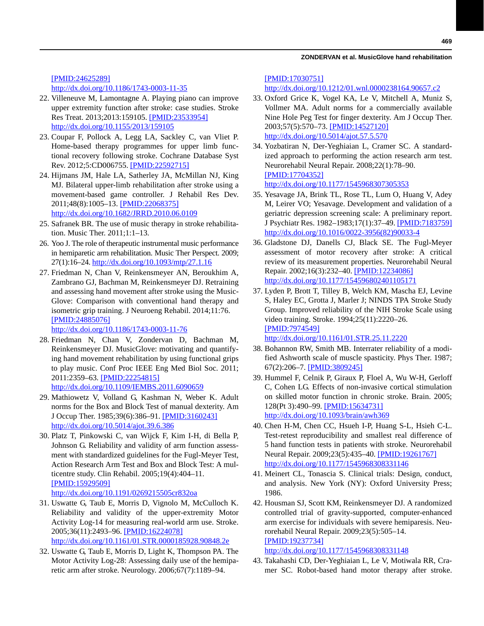[\[PMID:24625289\]](http://www.ncbi.nlm.nih.gov/entrez/query.fcgi?cmd=Retrieve&db=PubMed&list_uids=24625289&dopt=Abstract)

[h](http://www.ncbi.nlm.nih.gov/entrez/query.fcgi?cmd=Retrieve&db=PubMed&list_uids=24625289&dopt=Abstract)[ttp://dx.doi.org/10.1186/1743-0003-11-35](http://dx.doi.org/10.1186/1743-0003-11-35)

- 22. Villeneuve M, Lamontagne A. Playing piano can improve upper extremity function after stroke: case studies. Stroke Res Treat. 2013;2013:159105. [\[PMID:23533954\]](http://www.ncbi.nlm.nih.gov/pubmed/23533954) [h](http://www.ncbi.nlm.nih.gov/pubmed/23533954)[ttp://dx.doi.org/10.1155/2013/159105](http://dx.doi.org/10.1155/2013/159105)
- 23. Coupar F, Pollock A, Legg LA, Sackley C, van Vliet P. Home-based therapy programmes for upper limb functional recovery following stroke. Cochrane Database Syst Rev. 2012;5:CD006755. [\[PMID:22592715\]](http://www.ncbi.nlm.nih.gov/entrez/query.fcgi?cmd=Retrieve&db=PubMed&list_uids=22592715&dopt=Abstract)
- 24. Hijmans JM, Hale LA, Satherley JA, McMillan NJ, King MJ. Bilateral upper-limb rehabilitation after stroke using a movement-based game controller. J Rehabil Res Dev. 2011;48(8):1005–13. [\[PMID:22068375\]](http://www.ncbi.nlm.nih.gov/entrez/query.fcgi?cmd=Retrieve&db=PubMed&list_uids=22068375&dopt=Abstract) [h](http://www.ncbi.nlm.nih.gov/entrez/query.fcgi?cmd=Retrieve&db=PubMed&list_uids=22068375&dopt=Abstract)[ttp://dx.doi.org/10.1682/JRRD.2010.06.0109](http://dx.doi.org/10.1682/JRRD.2010.06.0109)
- 25. Safranek BR. The use of music therapy in stroke rehabilitation. Music Ther. 2011;1:1–13.
- 26. Yoo J. The role of therapeutic instrumental music performance in hemiparetic arm rehabilitation. Music Ther Perspect. 2009; 27(1):16–24. <http://dx.doi.org/10.1093/mtp/27.1.16>
- 27. Friedman N, Chan V, Reinkensmeyer AN, Beroukhim A, Zambrano GJ, Bachman M, Reinkensmeyer DJ. Retraining and assessing hand movement after stroke using the Music-Glove: Comparison with conventional hand therapy and isometric grip training. J Neuroeng Rehabil. 2014;11:76. [\[PMID:24885076\]](http://www.ncbi.nlm.nih.gov/entrez/query.fcgi?cmd=Retrieve&db=PubMed&list_uids=24885076&dopt=Abstract)

[h](http://www.ncbi.nlm.nih.gov/entrez/query.fcgi?cmd=Retrieve&db=PubMed&list_uids=24885076&dopt=Abstract)[ttp://dx.doi.org/10.1186/1743-0003-11-76](http://dx.doi.org/10.1186/1743-0003-11-76)

- 28. Friedman N, Chan V, Zondervan D, Bachman M, Reinkensmeyer DJ. MusicGlove: motivating and quantifying hand movement rehabilitation by using functional grips to play music. Conf Proc IEEE Eng Med Biol Soc. 2011; 2011:2359–63. [\[PMID:22254815\]](http://www.ncbi.nlm.nih.gov/pubmed/22254815) [h](http://www.ncbi.nlm.nih.gov/pubmed/22254815)[ttp://dx.doi.org/10.1109/IEMBS.2011.6090659](http://dx.doi.org/10.1109/IEMBS.2011.6090659)
- 29. Mathiowetz V, Volland G, Kashman N, Weber K. Adult norms for the Box and Block Test of manual dexterity. Am J Occup Ther. 1985;39(6):386–91. [\[PMID:3160243\]](http://www.ncbi.nlm.nih.gov/entrez/query.fcgi?cmd=Retrieve&db=PubMed&list_uids=3160243&dopt=Abstract) [h](http://www.ncbi.nlm.nih.gov/entrez/query.fcgi?cmd=Retrieve&db=PubMed&list_uids=3160243&dopt=Abstract)[ttp://dx.doi.org/10.5014/ajot.39.6.386](http://dx.doi.org/10.5014/ajot.39.6.386)
- 30. Platz T, Pinkowski C, van Wijck F, Kim I-H, di Bella P, Johnson G. Reliability and validity of arm function assessment with standardized guidelines for the Fugl-Meyer Test, Action Research Arm Test and Box and Block Test: A multicentre study. Clin Rehabil. 2005;19(4):404–11. [\[PMID:15929509\]](http://www.ncbi.nlm.nih.gov/entrez/query.fcgi?cmd=Retrieve&db=PubMed&list_uids=15929509&dopt=Abstract)

[h](http://www.ncbi.nlm.nih.gov/entrez/query.fcgi?cmd=Retrieve&db=PubMed&list_uids=15929509&dopt=Abstract)[ttp://dx.doi.org/10.1191/0269215505cr832oa](http://dx.doi.org/10.1191/0269215505cr832oa)

- 31. Uswatte G, Taub E, Morris D, Vignolo M, McCulloch K. Reliability and validity of the upper-extremity Motor Activity Log-14 for measuring real-world arm use. Stroke. 2005;36(11):2493–96. [\[PMID:16224078\]](http://www.ncbi.nlm.nih.gov/entrez/query.fcgi?cmd=Retrieve&db=PubMed&list_uids=16224078&dopt=Abstract) [h](http://www.ncbi.nlm.nih.gov/entrez/query.fcgi?cmd=Retrieve&db=PubMed&list_uids=16224078&dopt=Abstract)[ttp://dx.doi.org/10.1161/01.STR.0000185928.90848.2e](http://dx.doi.org/10.1161/01.STR.0000185928.90848.2e)
- 32. Uswatte G, Taub E, Morris D, Light K, Thompson PA. The Motor Activity Log-28: Assessing daily use of the hemiparetic arm after stroke. Neurology. 2006;67(7):1189–94.

[\[PMID:17030751\]](http://www.ncbi.nlm.nih.gov/entrez/query.fcgi?cmd=Retrieve&db=PubMed&list_uids=17030751&dopt=Abstract)

[h](http://www.ncbi.nlm.nih.gov/entrez/query.fcgi?cmd=Retrieve&db=PubMed&list_uids=17030751&dopt=Abstract)[ttp://dx.doi.org/10.1212/01.wnl.0000238164.90657.c2](http://dx.doi.org/10.1212/01.wnl.0000238164.90657.c2)

- 33. Oxford Grice K, Vogel KA, Le V, Mitchell A, Muniz S, Vollmer MA. Adult norms for a commercially available Nine Hole Peg Test for finger dexterity. Am J Occup Ther. 2003;57(5):570–73. [\[PMID:14527120\]](http://www.ncbi.nlm.nih.gov/entrez/query.fcgi?cmd=Retrieve&db=PubMed&list_uids=14527120&dopt=Abstract) [h](http://www.ncbi.nlm.nih.gov/entrez/query.fcgi?cmd=Retrieve&db=PubMed&list_uids=14527120&dopt=Abstract)[ttp://dx.doi.org/10.5014/ajot.57.5.570](http://dx.doi.org/10.5014/ajot.57.5.570)
- 34. Yozbatiran N, Der-Yeghiaian L, Cramer SC. A standardized approach to performing the action research arm test. Neurorehabil Neural Repair. 2008;22(1):78–90. [\[PMID:17704352\]](http://www.ncbi.nlm.nih.gov/entrez/query.fcgi?cmd=Retrieve&db=PubMed&list_uids=17704352&dopt=Abstract)

[h](http://www.ncbi.nlm.nih.gov/entrez/query.fcgi?cmd=Retrieve&db=PubMed&list_uids=17704352&dopt=Abstract)[ttp://dx.doi.org/10.1177/1545968307305353](http://dx.doi.org/10.1177/1545968307305353)

- 35. Yesavage JA, Brink TL, Rose TL, Lum O, Huang V, Adey M, Leirer VO; Yesavage. Development and validation of a geriatric depression screening scale: A preliminary report. J Psychiatr Res. 1982–1983;17(1):37–49. [\[PMID:7183759\]](http://www.ncbi.nlm.nih.gov/entrez/query.fcgi?cmd=Retrieve&db=PubMed&list_uids=7183759&dopt=Abstract) [h](http://www.ncbi.nlm.nih.gov/entrez/query.fcgi?cmd=Retrieve&db=PubMed&list_uids=7183759&dopt=Abstract)[ttp://dx.doi.org/10.1016/0022-3956\(82\)90033-4](http://dx.doi.org/10.1016/0022-3956(82)90033-4)
- 36. Gladstone DJ, Danells CJ, Black SE. The Fugl-Meyer assessment of motor recovery after stroke: A critical review of its measurement properties. Neurorehabil Neural Repair. 2002;16(3):232–40. [\[PMID:12234086\]](http://www.ncbi.nlm.nih.gov/entrez/query.fcgi?cmd=Retrieve&db=PubMed&list_uids=12234086&dopt=Abstract) [h](http://www.ncbi.nlm.nih.gov/entrez/query.fcgi?cmd=Retrieve&db=PubMed&list_uids=12234086&dopt=Abstract)[ttp://dx.doi.org/10.1177/154596802401105171](http://dx.doi.org/10.1177/154596802401105171)
- 37. Lyden P, Brott T, Tilley B, Welch KM, Mascha EJ, Levine S, Haley EC, Grotta J, Marler J; NINDS TPA Stroke Study Group. Improved reliability of the NIH Stroke Scale using video training. Stroke. 1994;25(11):2220–26. [\[PMID:7974549\]](http://www.ncbi.nlm.nih.gov/entrez/query.fcgi?cmd=Retrieve&db=PubMed&list_uids=7974549&dopt=Abstract) [h](http://www.ncbi.nlm.nih.gov/entrez/query.fcgi?cmd=Retrieve&db=PubMed&list_uids=7974549&dopt=Abstract)[ttp://dx.doi.org/10.1161/01.STR.25.11.2220](http://dx.doi.org/10.1161/01.STR.25.11.2220)
- 38. Bohannon RW, Smith MB. Interrater reliability of a modified Ashworth scale of muscle spasticity. Phys Ther. 1987; 67(2):206–7. [\[PMID:3809245\]](http://www.ncbi.nlm.nih.gov/entrez/query.fcgi?cmd=Retrieve&db=PubMed&list_uids=3809245&dopt=Abstract)
- 39. Hummel F, Celnik P, Giraux P, Floel A, Wu W-H, Gerloff C, Cohen LG. Effects of non-invasive cortical stimulation on skilled motor function in chronic stroke. Brain. 2005; 128(Pt 3):490–99. [\[PMID:15634731\]](http://www.ncbi.nlm.nih.gov/entrez/query.fcgi?cmd=Retrieve&db=PubMed&list_uids=15634731&dopt=Abstract) [h](http://www.ncbi.nlm.nih.gov/entrez/query.fcgi?cmd=Retrieve&db=PubMed&list_uids=15634731&dopt=Abstract)[ttp://dx.doi.org/10.1093/brain/awh369](http://dx.doi.org/10.1093/brain/awh369)
- 40. Chen H-M, Chen CC, Hsueh I-P, Huang S-L, Hsieh C-L. Test-retest reproducibility and smallest real difference of 5 hand function tests in patients with stroke. Neurorehabil Neural Repair. 2009;23(5):435–40. [\[PMID:19261767\]](http://www.ncbi.nlm.nih.gov/entrez/query.fcgi?cmd=Retrieve&db=PubMed&list_uids=19261767&dopt=Abstract) [h](http://www.ncbi.nlm.nih.gov/entrez/query.fcgi?cmd=Retrieve&db=PubMed&list_uids=19261767&dopt=Abstract)[ttp://dx.doi.org/10.1177/1545968308331146](http://dx.doi.org/10.1177/1545968308331146)
- 41. Meinert CL, Tonascia S. Clinical trials: Design, conduct, and analysis. New York (NY): Oxford University Press; 1986.
- 42. Housman SJ, Scott KM, Reinkensmeyer DJ. A randomized controlled trial of gravity-supported, computer-enhanced arm exercise for individuals with severe hemiparesis. Neurorehabil Neural Repair. 2009;23(5):505–14. [\[PMID:19237734\]](http://www.ncbi.nlm.nih.gov/entrez/query.fcgi?cmd=Retrieve&db=PubMed&list_uids=19237734&dopt=Abstract) [h](http://www.ncbi.nlm.nih.gov/entrez/query.fcgi?cmd=Retrieve&db=PubMed&list_uids=19237734&dopt=Abstract)[ttp://dx.doi.org/10.1177/1545968308331148](http://dx.doi.org/10.1177/1545968308331148)
- 43. Takahashi CD, Der-Yeghiaian L, Le V, Motiwala RR, Cramer SC. Robot-based hand motor therapy after stroke.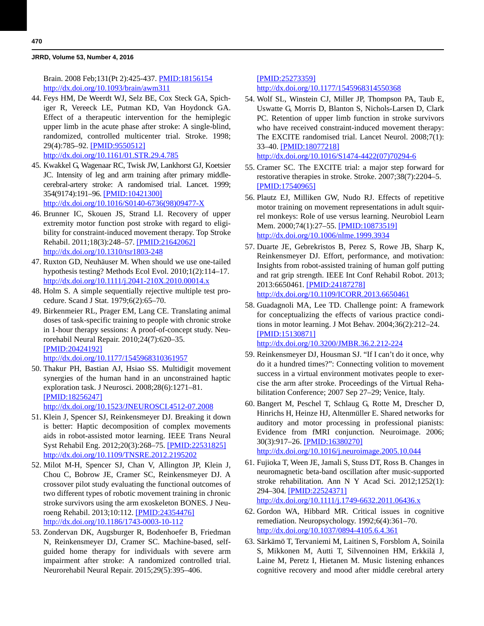Brain. 2008 Feb;131(Pt 2):425-437. [PMID:18156154](http://www.ncbi.nlm.nih.gov/entrez/query.fcgi?cmd=Retrieve&db=PubMed&list_uids=18156154&dopt=Abstract) [http://dx.doi.org/10.1093/brain/awm311](http://dx.doi.org/10.1177/1545968314550368)

- 44. Feys HM, De Weerdt WJ, Selz BE, Cox Steck GA, Spichiger R, Vereeck LE, Putman KD, Van Hoydonck GA. Effect of a therapeutic intervention for the hemiplegic upper limb in the acute phase after stroke: A single-blind, randomized, controlled multicenter trial. Stroke. 1998; 29(4):785–92. [\[PMID:9550512\]](http://www.ncbi.nlm.nih.gov/entrez/query.fcgi?cmd=Retrieve&db=PubMed&list_uids=9550512&dopt=Abstract) [h](http://www.ncbi.nlm.nih.gov/entrez/query.fcgi?cmd=Retrieve&db=PubMed&list_uids=9550512&dopt=Abstract)[ttp://dx.doi.org/10.1161/01.STR.29.4.785](http://dx.doi.org/10.1161/01.STR.29.4.785)
- 45. Kwakkel G, Wagenaar RC, Twisk JW, Lankhorst GJ, Koetsier JC. Intensity of leg and arm training after primary middlecerebral-artery stroke: A randomised trial. Lancet. 1999; 354(9174):191–96. [\[PMID:10421300\]](http://www.ncbi.nlm.nih.gov/entrez/query.fcgi?cmd=Retrieve&db=PubMed&list_uids=10421300&dopt=Abstract) [h](http://www.ncbi.nlm.nih.gov/entrez/query.fcgi?cmd=Retrieve&db=PubMed&list_uids=10421300&dopt=Abstract)[ttp://dx.doi.org/10.1016/S0140-6736\(98\)09477-X](http://dx.doi.org/10.1016/S0140-6736(98)09477-X)
- 46. Brunner IC, Skouen JS, Strand LI. Recovery of upper extremity motor function post stroke with regard to eligibility for constraint-induced movement therapy. Top Stroke Rehabil. 2011;18(3):248–57. [\[PMID:21642062\]](http://www.ncbi.nlm.nih.gov/entrez/query.fcgi?cmd=Retrieve&db=PubMed&list_uids=21642062&dopt=Abstract) [h](http://www.ncbi.nlm.nih.gov/entrez/query.fcgi?cmd=Retrieve&db=PubMed&list_uids=21642062&dopt=Abstract)[ttp://dx.doi.org/10.1310/tsr1803-248](http://dx.doi.org/10.1310/tsr1803-248)
- 47. Ruxton GD, Neuhäuser M. When should we use one-tailed hypothesis testing? Methods Ecol Evol. 2010;1(2):114–17. <http://dx.doi.org/10.1111/j.2041-210X.2010.00014.x>
- 48. Holm S. A simple sequentially rejective multiple test procedure. Scand J Stat. 1979;6(2):65–70.
- 49. Birkenmeier RL, Prager EM, Lang CE. Translating animal doses of task-specific training to people with chronic stroke in 1-hour therapy sessions: A proof-of-concept study. Neurorehabil Neural Repair. 2010;24(7):620–35. [\[PMID:20424192\]](http://www.ncbi.nlm.nih.gov/entrez/query.fcgi?cmd=Retrieve&db=PubMed&list_uids=20424192&dopt=Abstract)

[h](http://www.ncbi.nlm.nih.gov/entrez/query.fcgi?cmd=Retrieve&db=PubMed&list_uids=20424192&dopt=Abstract)[ttp://dx.doi.org/10.1177/1545968310361957](http://dx.doi.org/10.1177/1545968310361957)

- 50. Thakur PH, Bastian AJ, Hsiao SS. Multidigit movement synergies of the human hand in an unconstrained haptic exploration task. J Neurosci. 2008;28(6):1271–81. [\[PMID:18256247\]](http://www.ncbi.nlm.nih.gov/entrez/query.fcgi?cmd=Retrieve&db=PubMed&list_uids=18256247&dopt=Abstract) [h](http://www.ncbi.nlm.nih.gov/entrez/query.fcgi?cmd=Retrieve&db=PubMed&list_uids=18256247&dopt=Abstract)[ttp://dx.doi.org/10.1523/JNEUROSCI.4512-07.2008](http://dx.doi.org/10.1523/JNEUROSCI.4512-07.2008)
- 51. Klein J, Spencer SJ, Reinkensmeyer DJ. Breaking it down is better: Haptic decomposition of complex movements aids in robot-assisted motor learning. IEEE Trans Neural Syst Rehabil Eng. 2012;20(3):268–75. [\[PMID:22531825\]](http://www.ncbi.nlm.nih.gov/entrez/query.fcgi?cmd=Retrieve&db=PubMed&list_uids=22531825&dopt=Abstract) [h](http://www.ncbi.nlm.nih.gov/entrez/query.fcgi?cmd=Retrieve&db=PubMed&list_uids=22531825&dopt=Abstract)[ttp://dx.doi.org/10.1109/TNSRE.2012.2195202](http://dx.doi.org/10.1109/TNSRE.2012.2195202)
- 52. Milot M-H, Spencer SJ, Chan V, Allington JP, Klein J, Chou C, Bobrow JE, Cramer SC, Reinkensmeyer DJ. A crossover pilot study evaluating the functional outcomes of two different types of robotic movement training in chronic stroke survivors using the arm exoskeleton BONES. J Neuroeng Rehabil. 2013;10:112. [\[PMID:24354476\]](http://www.ncbi.nlm.nih.gov/entrez/query.fcgi?cmd=Retrieve&db=PubMed&list_uids=24354476&dopt=Abstract) [h](http://www.ncbi.nlm.nih.gov/entrez/query.fcgi?cmd=Retrieve&db=PubMed&list_uids=24354476&dopt=Abstract)[ttp://dx.doi.org/10.1186/1743-0003-10-112](http://dx.doi.org/10.1186/1743-0003-10-112)
- 53. Zondervan DK, Augsburger R, Bodenhoefer B, Friedman N, Reinkensmeyer DJ, Cramer SC. Machine-based, selfguided home therapy for individuals with severe arm impairment after stroke: A randomized controlled trial. Neurorehabil Neural Repair. 2015;29(5):395–406.

[\[PMID:25273359\]](http://www.ncbi.nlm.nih.gov/entrez/query.fcgi?cmd=Retrieve&db=PubMed&list_uids=25273359&dopt=Abstract)

[h](http://www.ncbi.nlm.nih.gov/entrez/query.fcgi?cmd=Retrieve&db=PubMed&list_uids=25273359&dopt=Abstract)[ttp://dx.doi.org/10.1177/1545968314550368](http://dx.doi.org/10.1177/1545968314550368)

- 54. Wolf SL, Winstein CJ, Miller JP, Thompson PA, Taub E, Uswatte G, Morris D, Blanton S, Nichols-Larsen D, Clark PC. Retention of upper limb function in stroke survivors who have received constraint-induced movement therapy: The EXCITE randomised trial. Lancet Neurol. 2008;7(1): 33–40. [PMID:18077218] http://dx.doi.org/10.1016/S1474-4422(07)70294-6
- 55. Cramer SC. The EXCITE trial: a major step forward for restorative therapies in stroke. Stroke. 2007;38(7):2204–5. [PMID:17540965]
- 56. Plautz EJ, Milliken GW, Nudo RJ. Effects of repetitive motor training on movement representations in adult squirrel monkeys: Role of use versus learning. Neurobiol Learn Mem. 2000;74(1):27–55. [PMID:10873519] http://dx.doi.org/10.1006/nlme.1999.3934
- 57. Duarte JE, Gebrekristos B, Perez S, Rowe JB, Sharp K, Reinkensmeyer DJ. Effort, performance, and motivation: Insights from robot-assisted training of human golf putting and rat grip strength. IEEE Int Conf Rehabil Robot. 2013; 2013:6650461. [PMID:24187278] http://dx.doi.org/10.1109/ICORR.2013.6650461
- 58. Guadagnoli MA, Lee TD. Challenge point: A framework for conceptualizing the effects of various practice conditions in motor learning. J Mot Behav. 2004;36(2):212–24. [PMID:15130871] http://dx.doi.org/10.3200/JMBR.36.2.212-224
- 59. Reinkensmeyer DJ, Housman SJ. "If I can't do it once, why do it a hundred times?": Connecting volition to movement success in a virtual environment motivates people to exercise the arm after stroke. Proceedings of the Virtual Rehabilitation Conference; 2007 Sep 27–29; Venice, Italy.
- 60. Bangert M, Peschel T, Schlaug G, Rotte M, Drescher D, Hinrichs H, Heinze HJ, Altenmüller E. Shared networks for auditory and motor processing in professional pianists: Evidence from fMRI conjunction. Neuroimage. 2006; 30(3):917–26. [PMID:16380270] http://dx.doi.org/10.1016/j.neuroimage.2005.10.044
- 61. Fujioka T, Ween JE, Jamali S, Stuss DT, Ross B. Changes in neuromagnetic beta-band oscillation after music-supported stroke rehabilitation. Ann N Y Acad Sci. 2012;1252(1): 294–304. [PMID:22524371]

http://dx.doi.org/10.1111/j.1749-6632.2011.06436.x

- 62. Gordon WA, Hibbard MR. Critical issues in cognitive remediation. Neuropsychology. 1992;6(4):361–70. http://dx.doi.org/10.1037/0894-4105.6.4.361
- 63. Särkämö T, Tervaniemi M, Laitinen S, Forsblom A, Soinila S, Mikkonen M, Autti T, Silvennoinen HM, Erkkilä J, Laine M, Peretz I, Hietanen M. Music listening enhances cognitive recovery and mood after middle cerebral artery